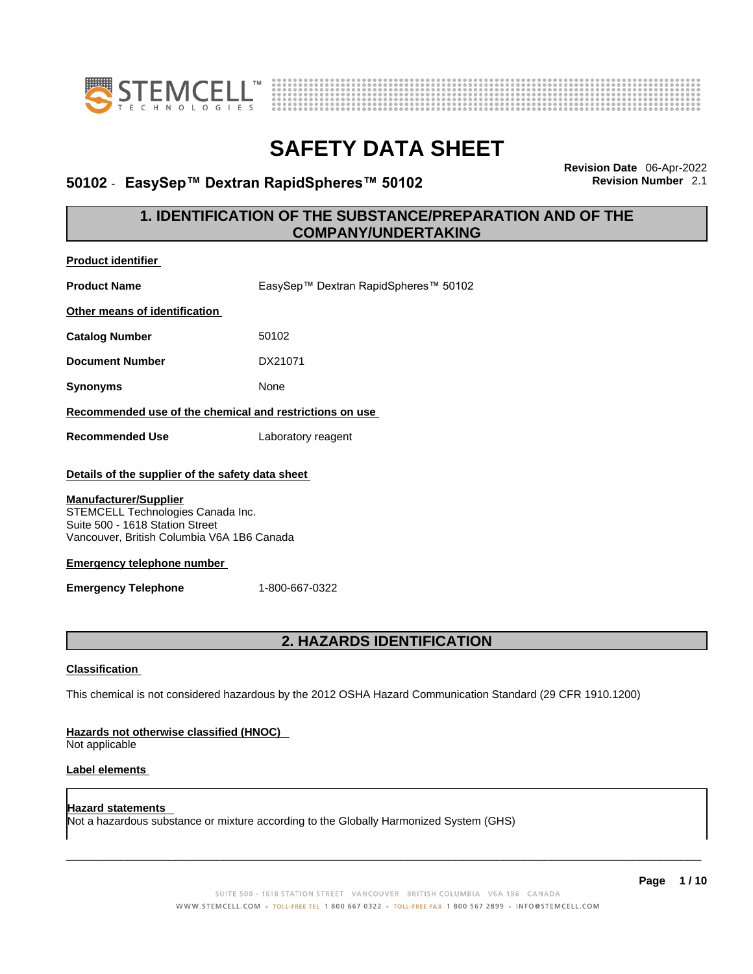



# **50102** - **EasySep™ Dextran RapidSpheres™ 50102 Revision Number** 2.1

**Revision Date** 06-Apr-2022

### **1. IDENTIFICATION OF THE SUBSTANCE/PREPARATION AND OF THE COMPANY/UNDERTAKING**

| <b>Product identifier</b>                                                                                                                                                                                                                                                 |                                                                                                             |
|---------------------------------------------------------------------------------------------------------------------------------------------------------------------------------------------------------------------------------------------------------------------------|-------------------------------------------------------------------------------------------------------------|
| <b>Product Name</b>                                                                                                                                                                                                                                                       | EasySep™ Dextran RapidSpheres™ 50102                                                                        |
| Other means of identification                                                                                                                                                                                                                                             |                                                                                                             |
| <b>Catalog Number</b>                                                                                                                                                                                                                                                     | 50102                                                                                                       |
| <b>Document Number</b>                                                                                                                                                                                                                                                    | DX21071                                                                                                     |
| <b>Synonyms</b>                                                                                                                                                                                                                                                           | None                                                                                                        |
| Recommended use of the chemical and restrictions on use                                                                                                                                                                                                                   |                                                                                                             |
| <b>Recommended Use</b>                                                                                                                                                                                                                                                    | Laboratory reagent                                                                                          |
| Details of the supplier of the safety data sheet<br><b>Manufacturer/Supplier</b><br>STEMCELL Technologies Canada Inc.<br>Suite 500 - 1618 Station Street<br>Vancouver, British Columbia V6A 1B6 Canada<br><b>Emergency telephone number</b><br><b>Emergency Telephone</b> | 1-800-667-0322                                                                                              |
|                                                                                                                                                                                                                                                                           | <b>2. HAZARDS IDENTIFICATION</b>                                                                            |
| <b>Classification</b>                                                                                                                                                                                                                                                     | This chemical is not considered hazardous by the 2012 OSHA Hazard Communication Standard (29 CFR 1910.1200) |
| Hazards not otherwise classified (HNOC)<br>Not applicable                                                                                                                                                                                                                 |                                                                                                             |
| <b>Label elements</b>                                                                                                                                                                                                                                                     |                                                                                                             |
| Hazard statements                                                                                                                                                                                                                                                         | Not a hazardous substance or mixture according to the Globally Harmonized System (GHS)                      |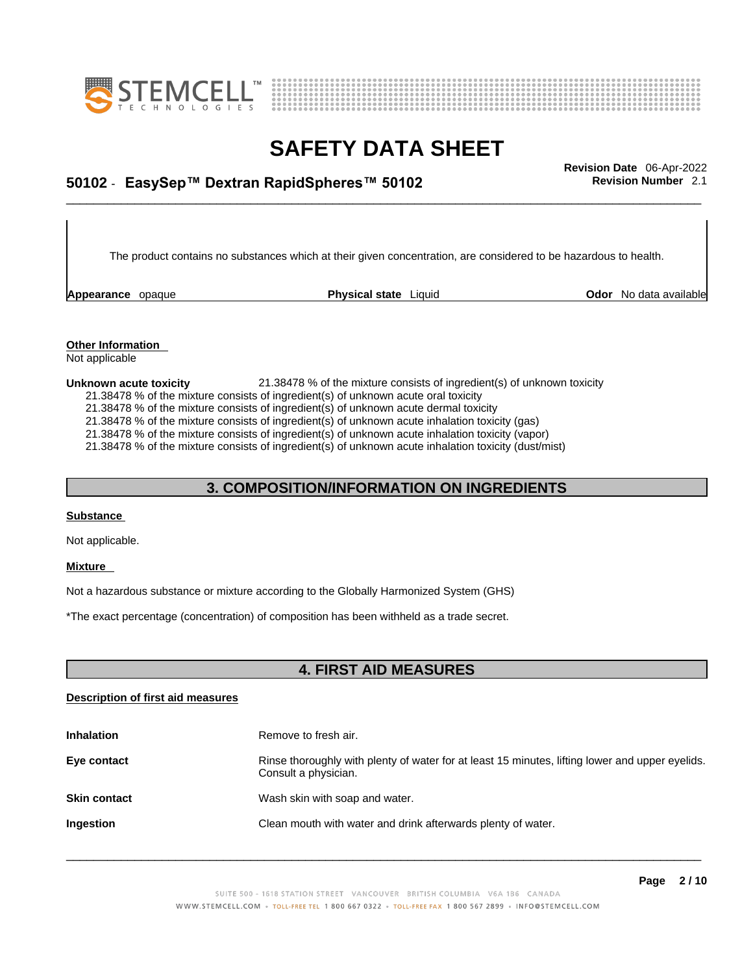



## \_\_\_\_\_\_\_\_\_\_\_\_\_\_\_\_\_\_\_\_\_\_\_\_\_\_\_\_\_\_\_\_\_\_\_\_\_\_\_\_\_\_\_\_\_\_\_\_\_\_\_\_\_\_\_\_\_\_\_\_\_\_\_\_\_\_\_\_\_\_\_\_\_\_\_\_\_\_\_\_\_\_\_\_\_\_\_\_\_\_\_\_\_ **Revision Date** 06-Apr-2022 **50102** - **EasySep™ Dextran RapidSpheres™ 50102 Revision Number** 2.1

The product contains no substances which at their given concentration, are considered to be hazardous to health.

**Appearance** opaque **Physical state** Liquid

**Odor** No data available

**Other Information**  Not applicable

#### **Unknown acute toxicity** 21.38478 % of the mixture consists of ingredient(s) of unknown toxicity

21.38478 % of the mixture consists of ingredient(s) of unknown acute oral toxicity

21.38478 % of the mixture consists of ingredient(s) of unknown acute dermal toxicity

21.38478 % of the mixture consists of ingredient(s) of unknown acute inhalation toxicity (gas)

21.38478 % of the mixture consists of ingredient(s) of unknown acute inhalation toxicity (vapor)

21.38478 % of the mixture consists of ingredient(s) of unknown acute inhalation toxicity (dust/mist)

### **3. COMPOSITION/INFORMATION ON INGREDIENTS**

#### **Substance**

Not applicable.

#### **Mixture**

Not a hazardous substance or mixture according to the Globally Harmonized System (GHS)

\*The exact percentage (concentration) of composition has been withheld as a trade secret.

### **4. FIRST AID MEASURES**

### **Description of first aid measures**

| <b>Inhalation</b>   | Remove to fresh air.                                                                                                    |
|---------------------|-------------------------------------------------------------------------------------------------------------------------|
| Eye contact         | Rinse thoroughly with plenty of water for at least 15 minutes, lifting lower and upper eyelids.<br>Consult a physician. |
| <b>Skin contact</b> | Wash skin with soap and water.                                                                                          |
| <b>Ingestion</b>    | Clean mouth with water and drink afterwards plenty of water.                                                            |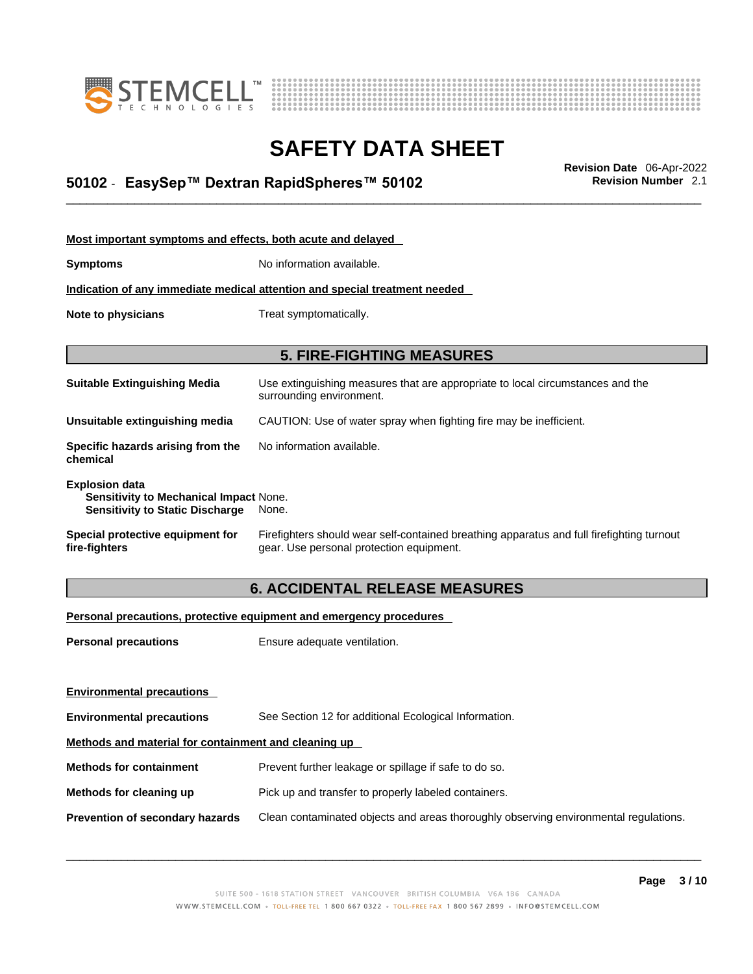



## \_\_\_\_\_\_\_\_\_\_\_\_\_\_\_\_\_\_\_\_\_\_\_\_\_\_\_\_\_\_\_\_\_\_\_\_\_\_\_\_\_\_\_\_\_\_\_\_\_\_\_\_\_\_\_\_\_\_\_\_\_\_\_\_\_\_\_\_\_\_\_\_\_\_\_\_\_\_\_\_\_\_\_\_\_\_\_\_\_\_\_\_\_ **Revision Date** 06-Apr-2022 **50102** - **EasySep™ Dextran RapidSpheres™ 50102 Revision Number** 2.1

| Most important symptoms and effects, both acute and delayed                                                      |                                                                                                                                       |
|------------------------------------------------------------------------------------------------------------------|---------------------------------------------------------------------------------------------------------------------------------------|
| <b>Symptoms</b>                                                                                                  | No information available.                                                                                                             |
|                                                                                                                  | Indication of any immediate medical attention and special treatment needed                                                            |
| Note to physicians                                                                                               | Treat symptomatically.                                                                                                                |
|                                                                                                                  |                                                                                                                                       |
|                                                                                                                  | <b>5. FIRE-FIGHTING MEASURES</b>                                                                                                      |
| <b>Suitable Extinguishing Media</b>                                                                              | Use extinguishing measures that are appropriate to local circumstances and the<br>surrounding environment.                            |
| Unsuitable extinguishing media                                                                                   | CAUTION: Use of water spray when fighting fire may be inefficient.                                                                    |
| Specific hazards arising from the<br>chemical                                                                    | No information available.                                                                                                             |
| <b>Explosion data</b><br><b>Sensitivity to Mechanical Impact None.</b><br><b>Sensitivity to Static Discharge</b> | None.                                                                                                                                 |
| Special protective equipment for<br>fire-fighters                                                                | Firefighters should wear self-contained breathing apparatus and full firefighting turnout<br>gear. Use personal protection equipment. |

### **6. ACCIDENTAL RELEASE MEASURES**

### **Personal precautions, protective equipment and emergency procedures**

| <b>Personal precautions</b>                          | Ensure adequate ventilation.                                                         |  |
|------------------------------------------------------|--------------------------------------------------------------------------------------|--|
|                                                      |                                                                                      |  |
|                                                      |                                                                                      |  |
| <b>Environmental precautions</b>                     | See Section 12 for additional Ecological Information.                                |  |
| Methods and material for containment and cleaning up |                                                                                      |  |
| <b>Methods for containment</b>                       | Prevent further leakage or spillage if safe to do so.                                |  |
| Methods for cleaning up                              | Pick up and transfer to properly labeled containers.                                 |  |
| Prevention of secondary hazards                      | Clean contaminated objects and areas thoroughly observing environmental regulations. |  |
| <b>Environmental precautions</b>                     |                                                                                      |  |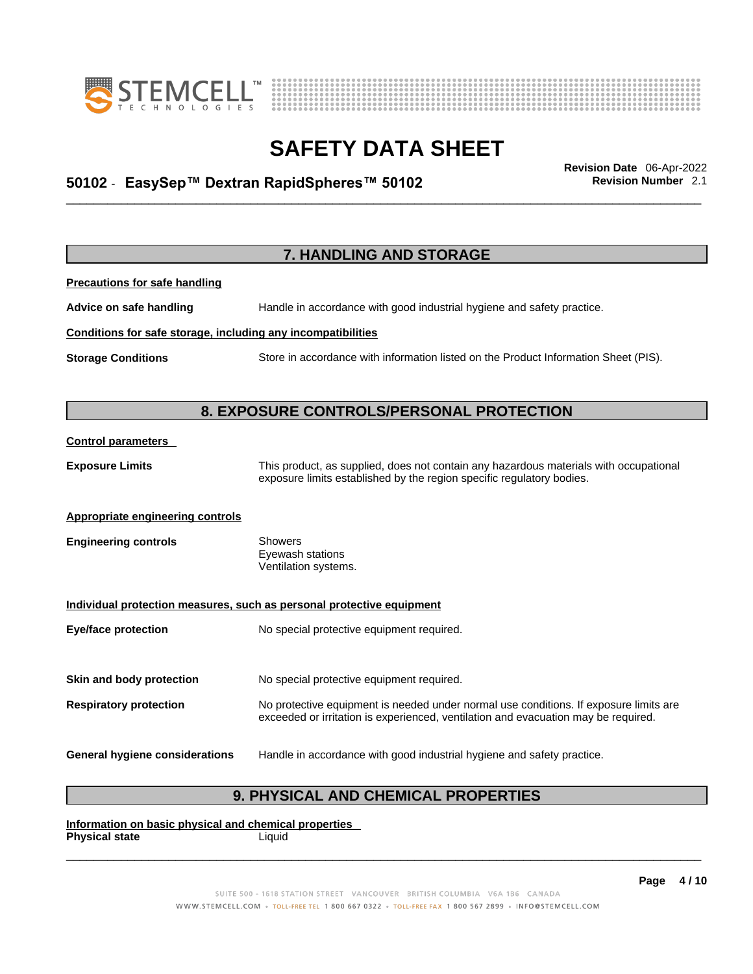



## \_\_\_\_\_\_\_\_\_\_\_\_\_\_\_\_\_\_\_\_\_\_\_\_\_\_\_\_\_\_\_\_\_\_\_\_\_\_\_\_\_\_\_\_\_\_\_\_\_\_\_\_\_\_\_\_\_\_\_\_\_\_\_\_\_\_\_\_\_\_\_\_\_\_\_\_\_\_\_\_\_\_\_\_\_\_\_\_\_\_\_\_\_ **Revision Date** 06-Apr-2022 **50102** - **EasySep™ Dextran RapidSpheres™ 50102 Revision Number** 2.1

**7. HANDLING AND STORAGE Precautions for safe handling Advice on safe handling** Handle in accordance with good industrial hygiene and safety practice. **Conditions for safe storage, including any incompatibilities Storage Conditions** Store in accordance with information listed on the Product Information Sheet (PIS). **8. EXPOSURE CONTROLS/PERSONAL PROTECTION Control parameters Exposure Limits** This product, as supplied, does not contain any hazardous materials with occupational exposure limits established by the region specific regulatory bodies. **Appropriate engineering controls Engineering controls** Showers Eyewash stations Ventilation systems. **Individual protection measures, such as personal protective equipment Eye/face protection** No special protective equipment required. **Skin and body protection** No special protective equipment required. **Respiratory protection** No protective equipment is needed under normal use conditions. If exposure limits are exceeded or irritation is experienced, ventilation and evacuation may be required. **General hygiene considerations** Handle in accordance with good industrial hygiene and safety practice.

### **9. PHYSICAL AND CHEMICAL PROPERTIES**

**Information on basic physical and chemical properties Physical state** Liquid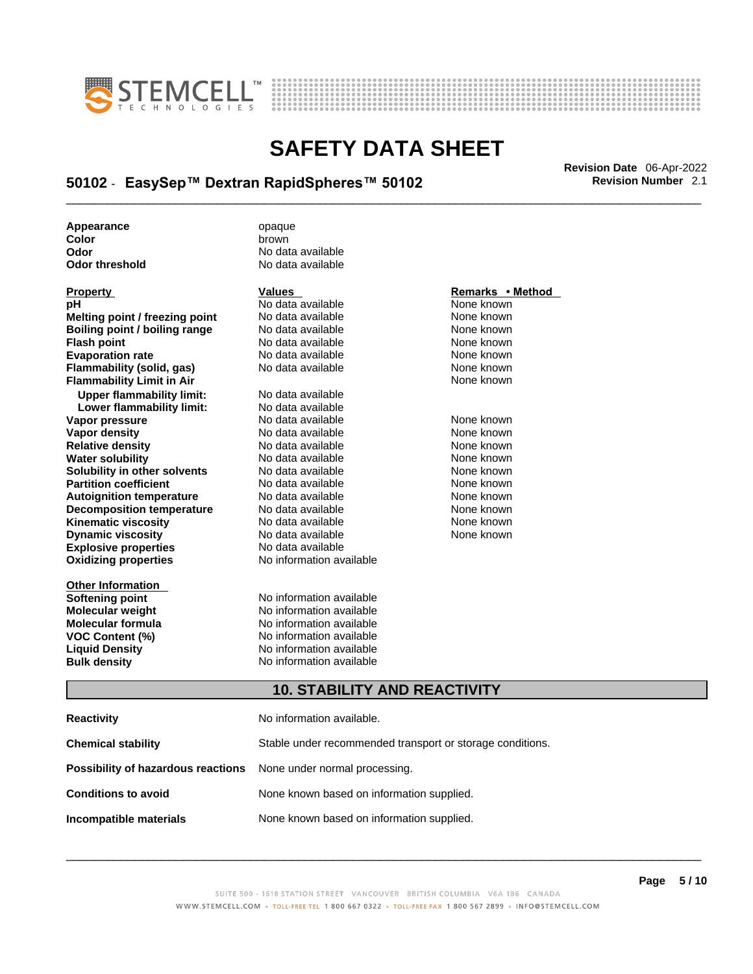



## \_\_\_\_\_\_\_\_\_\_\_\_\_\_\_\_\_\_\_\_\_\_\_\_\_\_\_\_\_\_\_\_\_\_\_\_\_\_\_\_\_\_\_\_\_\_\_\_\_\_\_\_\_\_\_\_\_\_\_\_\_\_\_\_\_\_\_\_\_\_\_\_\_\_\_\_\_\_\_\_\_\_\_\_\_\_\_\_\_\_\_\_\_ **Revision Date** 06-Apr-2022 **50102** - **EasySep™ Dextran RapidSpheres™ 50102 Revision Number** 2.1

**Appearance** opaque **Color brown**<br> **Color District Color**<br> **Color** 

| <b>FIUDEILY</b>                  |
|----------------------------------|
| рH                               |
| Melting point / freezing point   |
| Boiling point / boiling range    |
| <b>Flash point</b>               |
| <b>Evaporation rate</b>          |
| Flammability (solid, gas)        |
| <b>Flammability Limit in Air</b> |
| <b>Upper flammability limit:</b> |
| Lower flammability limit:        |
| Vapor pressure                   |
| Vapor density                    |
| <b>Relative density</b>          |
| <b>Water solubility</b>          |
| Solubility in other solvents     |
| <b>Partition coefficient</b>     |
| <b>Autoignition temperature</b>  |
| <b>Decomposition temperature</b> |
| Kinematic viscosity              |
| <b>Dynamic viscosity</b>         |
| <b>Explosive properties</b>      |
| <b>Oxidizing properties</b>      |
|                                  |

**Other Information** 

**Odor No data available**<br> **Odor threshold No data available No data available** 

**PH ANO data available None known**<br>
No data available None known **No data available Roidata available 1999 Mone known**<br> **Boiling** None known<br> **Roidata available None known No data available Evaporation No data available None known**<br> **Evaporation** None known<br>
None known **No data available** 

**Explosive properties** No data available **Oxidizing properties** No information available **No data available Lower flammability limit:** No data available **Vapora Available None known**<br> **Pressure No data available None known**<br>
None known **Vapor density Available** None known<br>
No data available None known **No data available No data available None known Solution Islam in Solution None known** None known **Partition Partition Coefficient Coefficient Coefficient Coefficient Coefficient Coefficient Coefficient Coefficient Coefficient Coefficient Coefficient Coefficient Coefficient Coefficient C Automische Munder None known**<br> **Automische None known**<br>
None known **No data available** No data available **None known** No data available **None known** 

**Softening point**<br> **Molecular weight**<br> **Molecular weight**<br> **Molecular weight**<br> **Molecular weight No information available Molecular formula** No information available **VOC Content (%)**<br>
Liquid Density<br>
No information available<br>
No information available **No information available Bulk density No information available** 

### **Property CONSIDERENT VALUES PROPERTY Remarks • Method**

**Flammability Limit in Air** None known

### **10. STABILITY AND REACTIVITY**

| Reactivity                                                              | No information available.                                 |
|-------------------------------------------------------------------------|-----------------------------------------------------------|
| Chemical stability                                                      | Stable under recommended transport or storage conditions. |
| <b>Possibility of hazardous reactions</b> None under normal processing. |                                                           |
| <b>Conditions to avoid</b>                                              | None known based on information supplied.                 |
| Incompatible materials                                                  | None known based on information supplied.                 |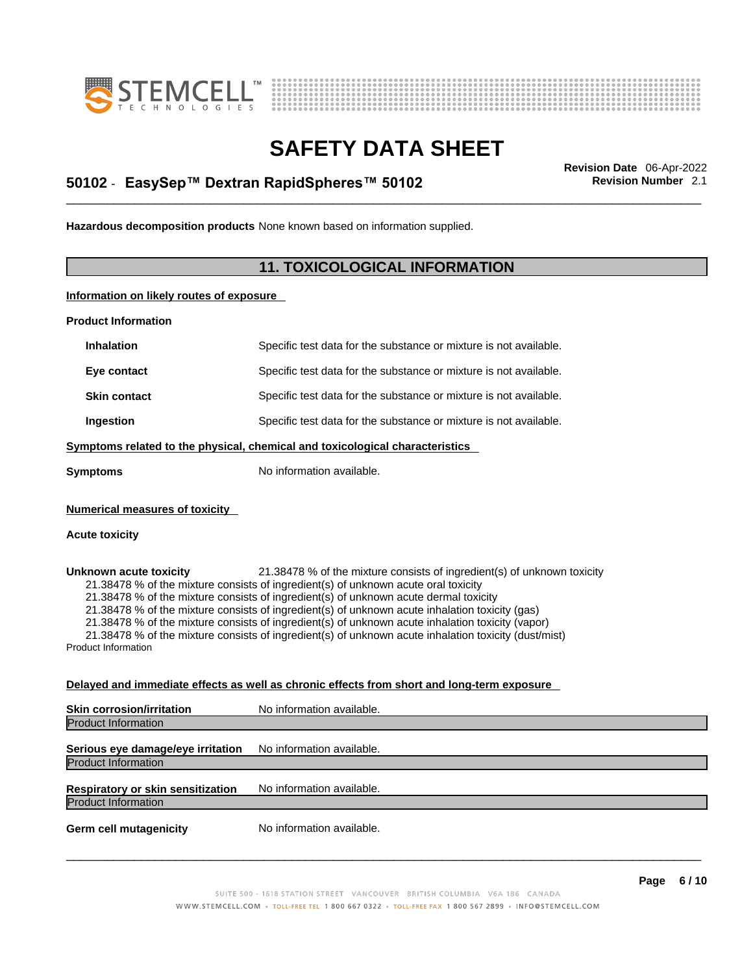



## \_\_\_\_\_\_\_\_\_\_\_\_\_\_\_\_\_\_\_\_\_\_\_\_\_\_\_\_\_\_\_\_\_\_\_\_\_\_\_\_\_\_\_\_\_\_\_\_\_\_\_\_\_\_\_\_\_\_\_\_\_\_\_\_\_\_\_\_\_\_\_\_\_\_\_\_\_\_\_\_\_\_\_\_\_\_\_\_\_\_\_\_\_ **Revision Date** 06-Apr-2022 **50102** - **EasySep™ Dextran RapidSpheres™ 50102 Revision Number** 2.1

**Hazardous decomposition products** None known based on information supplied.

### **11. TOXICOLOGICAL INFORMATION**

**Information on likely routes of exposure**

**Product Information**

| <b>Inhalation</b>                                    | Specific test data for the substance or mixture is not available.                                                                                                                                                                                                                                                                                                                                                                                                                                                                                                   |  |
|------------------------------------------------------|---------------------------------------------------------------------------------------------------------------------------------------------------------------------------------------------------------------------------------------------------------------------------------------------------------------------------------------------------------------------------------------------------------------------------------------------------------------------------------------------------------------------------------------------------------------------|--|
| Eye contact                                          | Specific test data for the substance or mixture is not available.                                                                                                                                                                                                                                                                                                                                                                                                                                                                                                   |  |
| <b>Skin contact</b>                                  | Specific test data for the substance or mixture is not available.                                                                                                                                                                                                                                                                                                                                                                                                                                                                                                   |  |
| Ingestion                                            | Specific test data for the substance or mixture is not available.                                                                                                                                                                                                                                                                                                                                                                                                                                                                                                   |  |
|                                                      | Symptoms related to the physical, chemical and toxicological characteristics                                                                                                                                                                                                                                                                                                                                                                                                                                                                                        |  |
| <b>Symptoms</b>                                      | No information available.                                                                                                                                                                                                                                                                                                                                                                                                                                                                                                                                           |  |
| <b>Numerical measures of toxicity</b>                |                                                                                                                                                                                                                                                                                                                                                                                                                                                                                                                                                                     |  |
| <b>Acute toxicity</b>                                |                                                                                                                                                                                                                                                                                                                                                                                                                                                                                                                                                                     |  |
| Unknown acute toxicity<br><b>Product Information</b> | 21.38478 % of the mixture consists of ingredient(s) of unknown toxicity<br>21.38478 % of the mixture consists of ingredient(s) of unknown acute oral toxicity<br>21.38478 % of the mixture consists of ingredient(s) of unknown acute dermal toxicity<br>21.38478 % of the mixture consists of ingredient(s) of unknown acute inhalation toxicity (gas)<br>21.38478 % of the mixture consists of ingredient(s) of unknown acute inhalation toxicity (vapor)<br>21.38478 % of the mixture consists of ingredient(s) of unknown acute inhalation toxicity (dust/mist) |  |
|                                                      | <u>Delayed and immediate effects as well as chronic effects from short and long-term exposure</u>                                                                                                                                                                                                                                                                                                                                                                                                                                                                   |  |

| <b>Skin corrosion/irritation</b>                                | No information available. |
|-----------------------------------------------------------------|---------------------------|
| <b>Product Information</b>                                      |                           |
| Serious eye damage/eye irritation<br><b>Product Information</b> | No information available. |
| Respiratory or skin sensitization<br><b>Product Information</b> | No information available. |
| <b>Germ cell mutagenicity</b>                                   | No information available. |
|                                                                 |                           |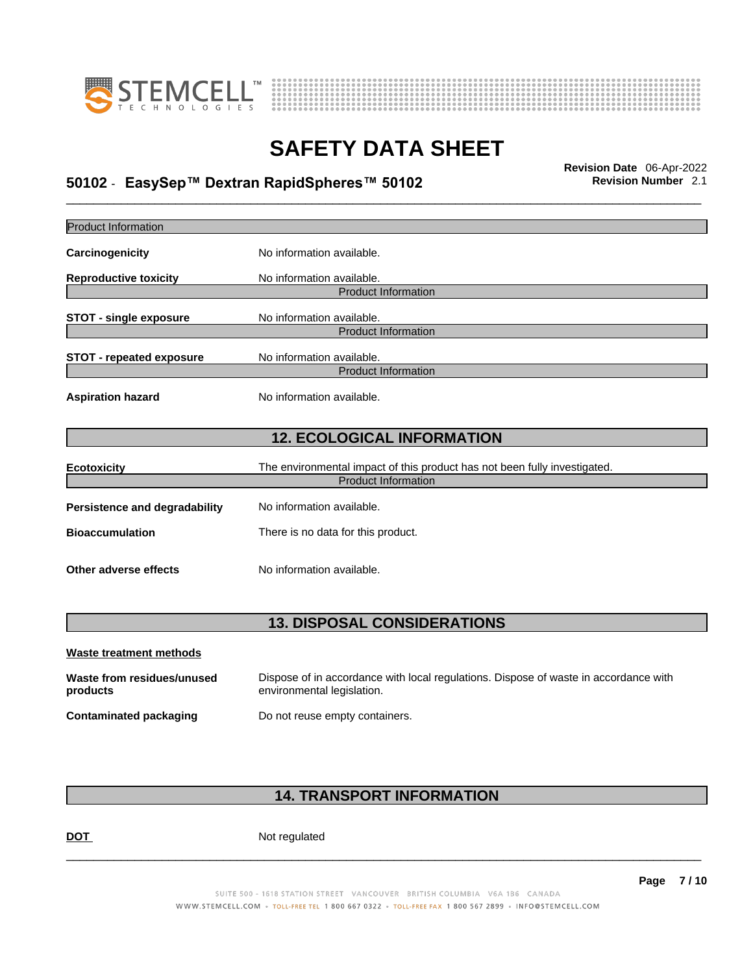



## \_\_\_\_\_\_\_\_\_\_\_\_\_\_\_\_\_\_\_\_\_\_\_\_\_\_\_\_\_\_\_\_\_\_\_\_\_\_\_\_\_\_\_\_\_\_\_\_\_\_\_\_\_\_\_\_\_\_\_\_\_\_\_\_\_\_\_\_\_\_\_\_\_\_\_\_\_\_\_\_\_\_\_\_\_\_\_\_\_\_\_\_\_ **Revision Date** 06-Apr-2022 **50102** - **EasySep™ Dextran RapidSpheres™ 50102 Revision Number** 2.1

| <b>Product Information</b>             |                                                                                                                    |
|----------------------------------------|--------------------------------------------------------------------------------------------------------------------|
| Carcinogenicity                        | No information available.                                                                                          |
| <b>Reproductive toxicity</b>           | No information available.<br><b>Product Information</b>                                                            |
| <b>STOT - single exposure</b>          | No information available.<br><b>Product Information</b>                                                            |
| <b>STOT - repeated exposure</b>        | No information available.<br><b>Product Information</b>                                                            |
| <b>Aspiration hazard</b>               | No information available.                                                                                          |
|                                        | <b>12. ECOLOGICAL INFORMATION</b>                                                                                  |
| <b>Ecotoxicity</b>                     | The environmental impact of this product has not been fully investigated.<br><b>Product Information</b>            |
| <b>Persistence and degradability</b>   | No information available.                                                                                          |
| <b>Bioaccumulation</b>                 | There is no data for this product.                                                                                 |
| Other adverse effects                  | No information available.                                                                                          |
|                                        | <b>13. DISPOSAL CONSIDERATIONS</b>                                                                                 |
| <b>Waste treatment methods</b>         |                                                                                                                    |
| Waste from residues/unused<br>products | Dispose of in accordance with local regulations. Dispose of waste in accordance with<br>environmental legislation. |
| <b>Contaminated packaging</b>          | Do not reuse empty containers.                                                                                     |
|                                        |                                                                                                                    |

### **14. TRANSPORT INFORMATION**

DOT Not regulated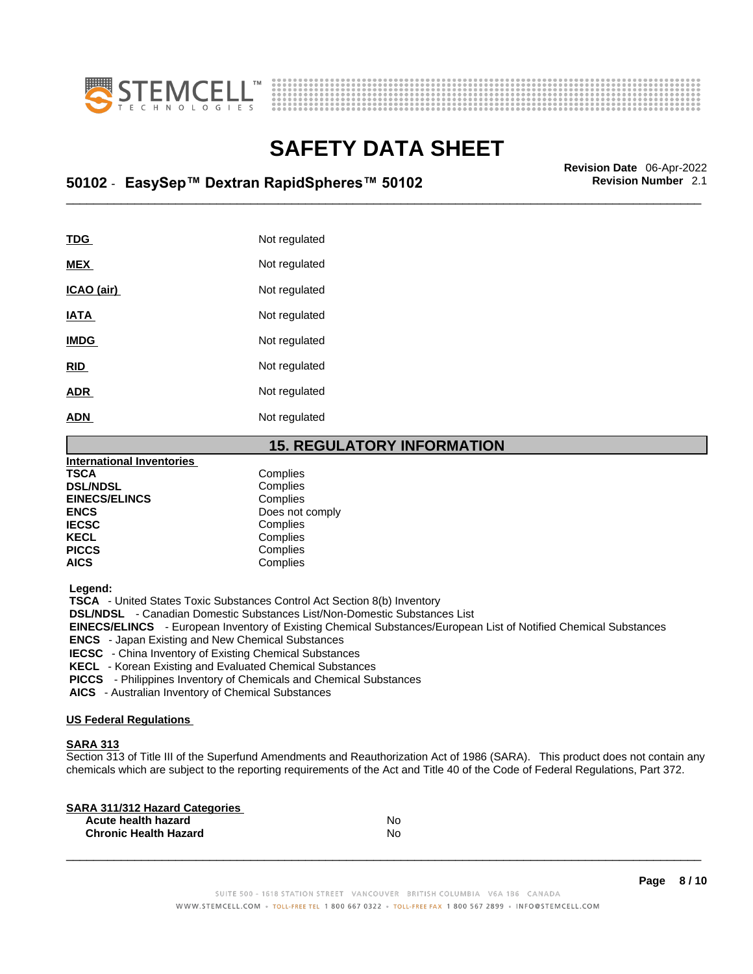



## \_\_\_\_\_\_\_\_\_\_\_\_\_\_\_\_\_\_\_\_\_\_\_\_\_\_\_\_\_\_\_\_\_\_\_\_\_\_\_\_\_\_\_\_\_\_\_\_\_\_\_\_\_\_\_\_\_\_\_\_\_\_\_\_\_\_\_\_\_\_\_\_\_\_\_\_\_\_\_\_\_\_\_\_\_\_\_\_\_\_\_\_\_ **Revision Date** 06-Apr-2022 **50102** - **EasySep™ Dextran RapidSpheres™ 50102 Revision Number** 2.1

| Not regulated |
|---------------|
| Not regulated |
| Not regulated |
| Not regulated |
| Not regulated |
| Not regulated |
| Not regulated |
| Not regulated |
|               |

### **15. REGULATORY INFORMATION**

| <b>International Inventories</b> |                 |  |
|----------------------------------|-----------------|--|
| <b>TSCA</b>                      | Complies        |  |
| <b>DSL/NDSL</b>                  | Complies        |  |
| <b>EINECS/ELINCS</b>             | Complies        |  |
| <b>ENCS</b>                      | Does not comply |  |
| <b>IECSC</b>                     | Complies        |  |
| <b>KECL</b>                      | Complies        |  |
| <b>PICCS</b>                     | Complies        |  |
| <b>AICS</b>                      | Complies        |  |

 **Legend:** 

 **TSCA** - United States Toxic Substances Control Act Section 8(b) Inventory

 **DSL/NDSL** - Canadian Domestic Substances List/Non-Domestic Substances List

 **EINECS/ELINCS** - European Inventory of Existing Chemical Substances/European List of Notified Chemical Substances

 **ENCS** - Japan Existing and New Chemical Substances

 **IECSC** - China Inventory of Existing Chemical Substances

 **KECL** - Korean Existing and Evaluated Chemical Substances

 **PICCS** - Philippines Inventory of Chemicals and Chemical Substances

 **AICS** - Australian Inventory of Chemical Substances

#### **US Federal Regulations**

### **SARA 313**

Section 313 of Title III of the Superfund Amendments and Reauthorization Act of 1986 (SARA). This product does not contain any chemicals which are subject to the reporting requirements of the Act and Title 40 of the Code of Federal Regulations, Part 372.

| No |  |
|----|--|
| No |  |
|    |  |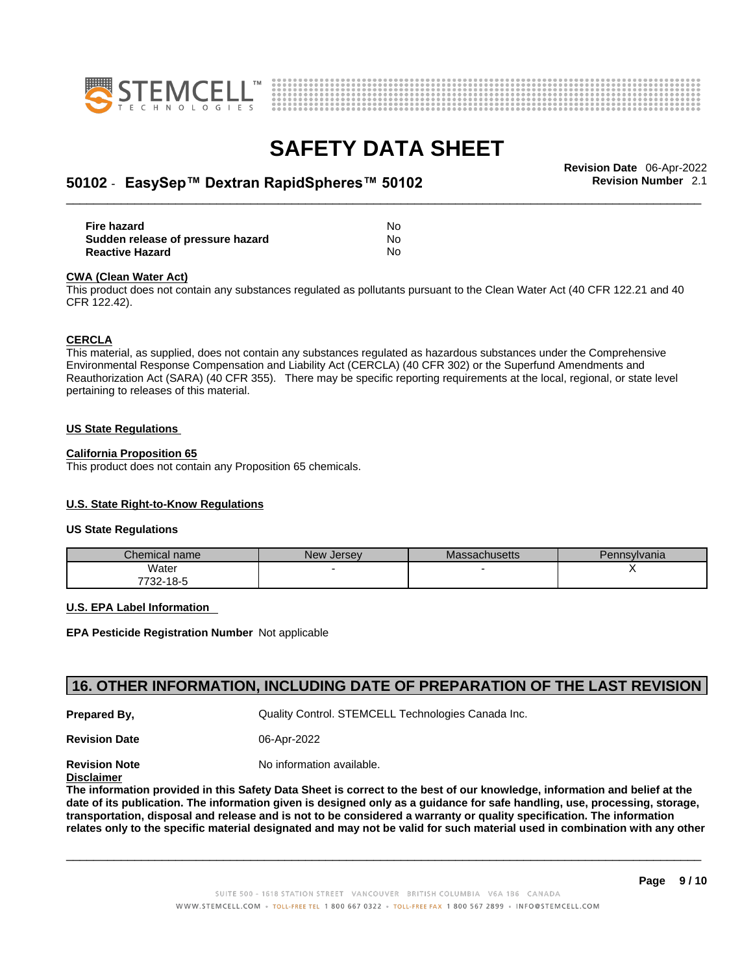



## \_\_\_\_\_\_\_\_\_\_\_\_\_\_\_\_\_\_\_\_\_\_\_\_\_\_\_\_\_\_\_\_\_\_\_\_\_\_\_\_\_\_\_\_\_\_\_\_\_\_\_\_\_\_\_\_\_\_\_\_\_\_\_\_\_\_\_\_\_\_\_\_\_\_\_\_\_\_\_\_\_\_\_\_\_\_\_\_\_\_\_\_\_ **Revision Date** 06-Apr-2022 **50102** - **EasySep™ Dextran RapidSpheres™ 50102 Revision Number** 2.1

| Fire hazard                       | No  |
|-----------------------------------|-----|
| Sudden release of pressure hazard | No. |
| <b>Reactive Hazard</b>            | No  |

#### **CWA** (Clean Water Act)

This product does not contain any substances regulated as pollutants pursuant to the Clean Water Act (40 CFR 122.21 and 40 CFR 122.42).

#### **CERCLA**

This material, as supplied, does not contain any substances regulated as hazardous substances under the Comprehensive Environmental Response Compensation and Liability Act (CERCLA) (40 CFR 302) or the Superfund Amendments and Reauthorization Act (SARA) (40 CFR 355). There may be specific reporting requirements at the local, regional, or state level pertaining to releases of this material.

#### **US State Regulations**

#### **California Proposition 65**

This product does not contain any Proposition 65 chemicals.

### **U.S. State Right-to-Know Regulations**

#### **US State Regulations**

| Chemical name     | New<br><b>Jersey</b> | <b>Massachusetts</b> | Pennsylvania |
|-------------------|----------------------|----------------------|--------------|
| Water             |                      |                      |              |
| 7700.<br>732-18-5 |                      |                      |              |

#### **U.S. EPA Label Information**

**EPA Pesticide Registration Number** Not applicable

### **16. OTHER INFORMATION, INCLUDING DATE OF PREPARATION OF THE LAST REVISION**

**Prepared By, Cuality Control. STEMCELL Technologies Canada Inc.** 

**Revision Date** 06-Apr-2022

**Revision Note** Noinformation available.

**Disclaimer**

The information provided in this Safety Data Sheet is correct to the best of our knowledge, information and belief at the date of its publication. The information given is designed only as a guidance for safe handling, use, processing, storage, transportation, disposal and release and is not to be considered a warranty or quality specification. The information relates only to the specific material designated and may not be valid for such material used in combination with any other